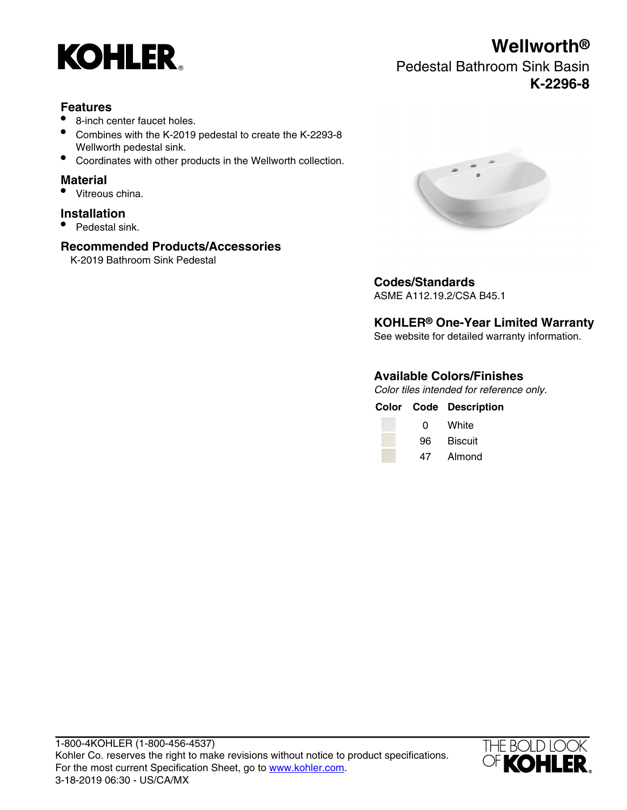

# **Features**

- 8-inch center faucet holes.
- Combines with the K-2019 pedestal to create the K-2293-8 Wellworth pedestal sink.
- Coordinates with other products in the Wellworth collection.

### **Material**

• Vitreous china.

## **Installation**

• Pedestal sink.

## **Recommended Products/Accessories**

K-2019 Bathroom Sink Pedestal



# **Codes/Standards**

ASME A112.19.2/CSA B45.1

# **KOHLER® One-Year Limited Warranty**

See website for detailed warranty information.

# **Available Colors/Finishes**

Color tiles intended for reference only.

|              | <b>Color Code Description</b> |
|--------------|-------------------------------|
| <sup>0</sup> | White                         |
|              | 96 Biscuit                    |

47 Almond